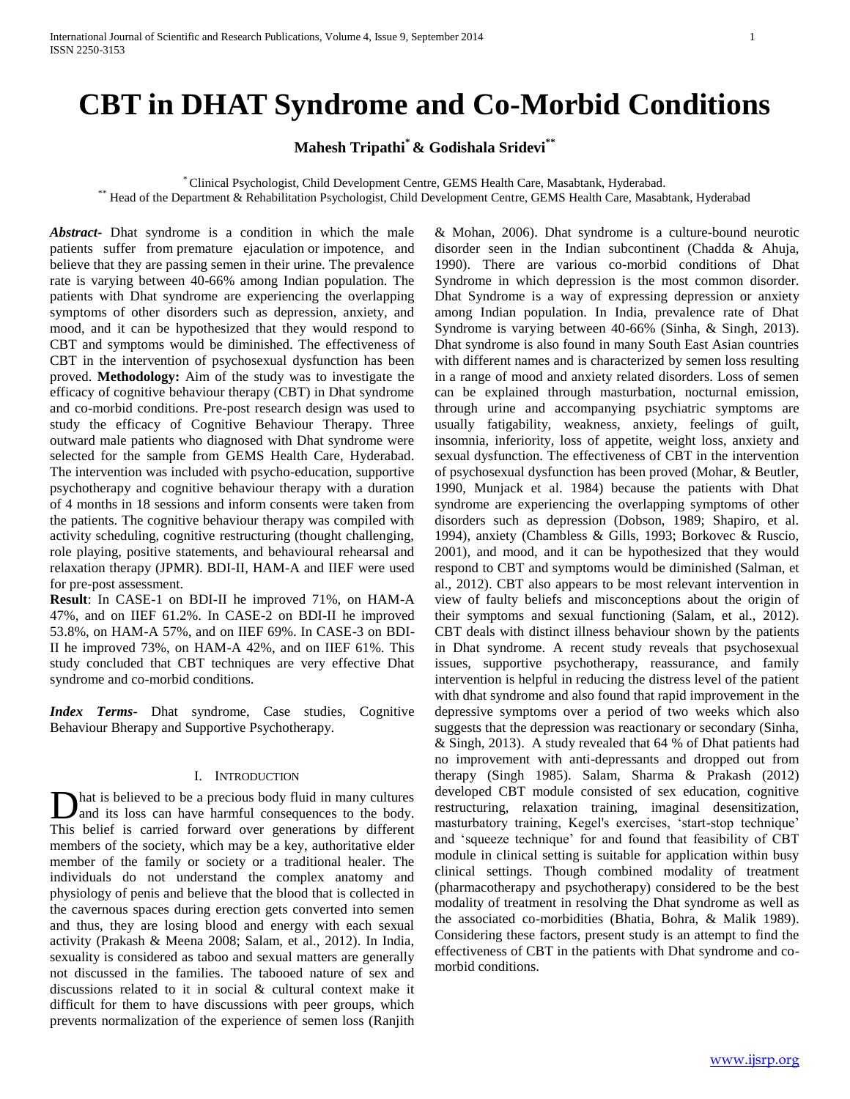# **CBT in DHAT Syndrome and Co-Morbid Conditions**

**Mahesh Tripathi\* & Godishala Sridevi\*\***

\* Clinical Psychologist, Child Development Centre, GEMS Health Care, Masabtank, Hyderabad. \*\* Head of the Department & Rehabilitation Psychologist, Child Development Centre, GEMS Health Care, Masabtank, Hyderabad

*Abstract***-** Dhat syndrome is a condition in which the male patients suffer from premature ejaculation or impotence, and believe that they are passing semen in their urine. The prevalence rate is varying between 40-66% among Indian population. The patients with Dhat syndrome are experiencing the overlapping symptoms of other disorders such as depression, anxiety, and mood, and it can be hypothesized that they would respond to CBT and symptoms would be diminished. The effectiveness of CBT in the intervention of psychosexual dysfunction has been proved. **Methodology:** Aim of the study was to investigate the efficacy of cognitive behaviour therapy (CBT) in Dhat syndrome and co-morbid conditions. Pre-post research design was used to study the efficacy of Cognitive Behaviour Therapy. Three outward male patients who diagnosed with Dhat syndrome were selected for the sample from GEMS Health Care, Hyderabad. The intervention was included with psycho-education, supportive psychotherapy and cognitive behaviour therapy with a duration of 4 months in 18 sessions and inform consents were taken from the patients. The cognitive behaviour therapy was compiled with activity scheduling, cognitive restructuring (thought challenging, role playing, positive statements, and behavioural rehearsal and relaxation therapy (JPMR). BDI-II, HAM-A and IIEF were used for pre-post assessment.

**Result**: In CASE-1 on BDI-II he improved 71%, on HAM-A 47%, and on IIEF 61.2%. In CASE-2 on BDI-II he improved 53.8%, on HAM-A 57%, and on IIEF 69%. In CASE-3 on BDI-II he improved 73%, on HAM-A 42%, and on IIEF 61%. This study concluded that CBT techniques are very effective Dhat syndrome and co-morbid conditions.

*Index Terms*- Dhat syndrome, Case studies, Cognitive Behaviour Bherapy and Supportive Psychotherapy.

# I. INTRODUCTION

hat is believed to be a precious body fluid in many cultures and its loss can have harmful consequences to the body. Dhat is believed to be a precious body fluid in many cultures<br>and its loss can have harmful consequences to the body.<br>This belief is carried forward over generations by different members of the society, which may be a key, authoritative elder member of the family or society or a traditional healer. The individuals do not understand the complex anatomy and physiology of penis and believe that the blood that is collected in the cavernous spaces during erection gets converted into semen and thus, they are losing blood and energy with each sexual activity (Prakash & Meena 2008; Salam, et al., 2012). In India, sexuality is considered as taboo and sexual matters are generally not discussed in the families. The tabooed nature of sex and discussions related to it in social & cultural context make it difficult for them to have discussions with peer groups, which prevents normalization of the experience of semen loss (Ranjith

& Mohan, 2006). Dhat syndrome is a culture-bound neurotic disorder seen in the Indian subcontinent (Chadda & Ahuja, 1990). There are various co-morbid conditions of Dhat Syndrome in which depression is the most common disorder. Dhat Syndrome is a way of expressing depression or anxiety among Indian population. In India, prevalence rate of Dhat Syndrome is varying between 40-66% (Sinha, & Singh, 2013). Dhat syndrome is also found in many South East Asian countries with different names and is characterized by semen loss resulting in a range of mood and anxiety related disorders. Loss of semen can be explained through masturbation, nocturnal emission, through urine and accompanying psychiatric symptoms are usually fatigability, weakness, anxiety, feelings of guilt, insomnia, inferiority, loss of appetite, weight loss, anxiety and sexual dysfunction. The effectiveness of CBT in the intervention of psychosexual dysfunction has been proved (Mohar, & Beutler, 1990, Munjack et al. 1984) because the patients with Dhat syndrome are experiencing the overlapping symptoms of other disorders such as depression (Dobson, 1989; Shapiro, et al. 1994), anxiety (Chambless & Gills, 1993; Borkovec & Ruscio, 2001), and mood, and it can be hypothesized that they would respond to CBT and symptoms would be diminished (Salman, et al., 2012). CBT also appears to be most relevant intervention in view of faulty beliefs and misconceptions about the origin of their symptoms and sexual functioning (Salam, et al., 2012). CBT deals with distinct illness behaviour shown by the patients in Dhat syndrome. A recent study reveals that psychosexual issues, supportive psychotherapy, reassurance, and family intervention is helpful in reducing the distress level of the patient with dhat syndrome and also found that rapid improvement in the depressive symptoms over a period of two weeks which also suggests that the depression was reactionary or secondary (Sinha, & Singh, 2013). A study revealed that 64 % of Dhat patients had no improvement with anti-depressants and dropped out from therapy (Singh 1985). Salam, Sharma & Prakash (2012) developed CBT module consisted of sex education, cognitive restructuring, relaxation training, imaginal desensitization, masturbatory training, Kegel's exercises, 'start-stop technique' and 'squeeze technique' for and found that feasibility of CBT module in clinical setting is suitable for application within busy clinical settings. Though combined modality of treatment (pharmacotherapy and psychotherapy) considered to be the best modality of treatment in resolving the Dhat syndrome as well as the associated co-morbidities (Bhatia, Bohra, & Malik 1989). Considering these factors, present study is an attempt to find the effectiveness of CBT in the patients with Dhat syndrome and comorbid conditions.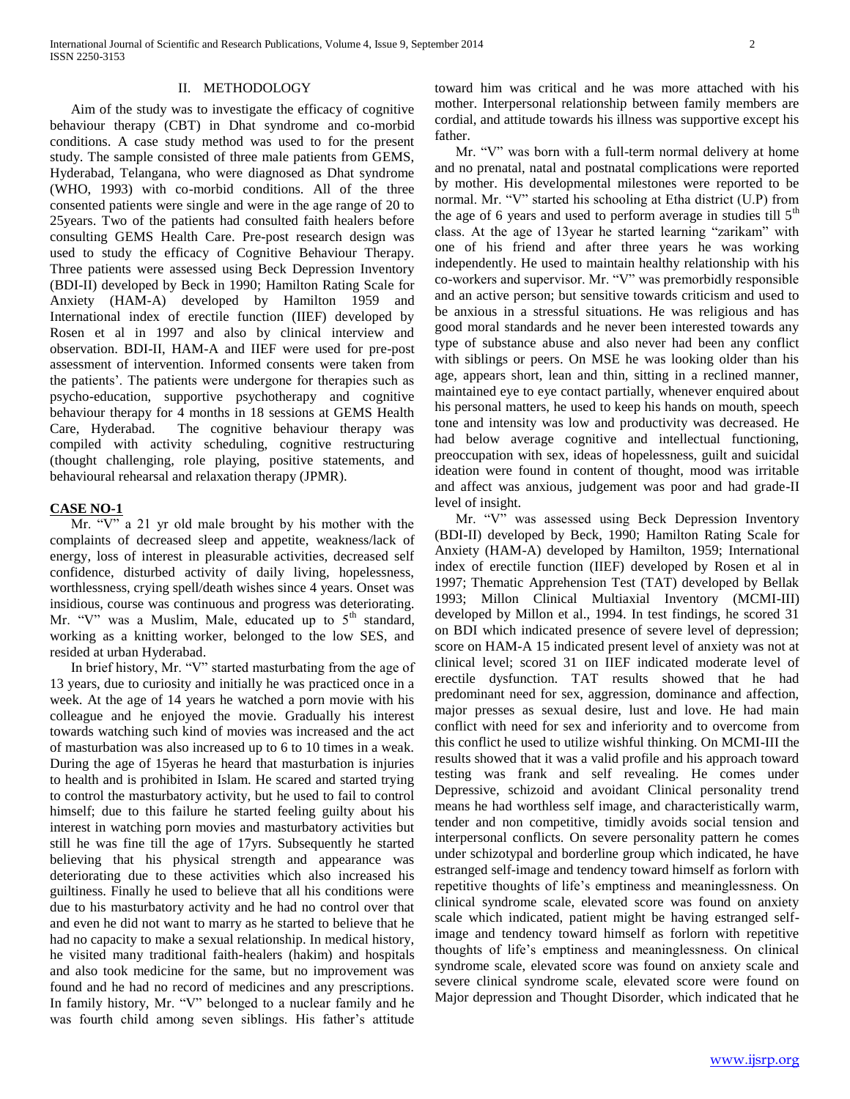# II. METHODOLOGY

 Aim of the study was to investigate the efficacy of cognitive behaviour therapy (CBT) in Dhat syndrome and co-morbid conditions. A case study method was used to for the present study. The sample consisted of three male patients from GEMS, Hyderabad, Telangana, who were diagnosed as Dhat syndrome (WHO, 1993) with co-morbid conditions. All of the three consented patients were single and were in the age range of 20 to 25years. Two of the patients had consulted faith healers before consulting GEMS Health Care. Pre-post research design was used to study the efficacy of Cognitive Behaviour Therapy. Three patients were assessed using Beck Depression Inventory (BDI-II) developed by Beck in 1990; Hamilton Rating Scale for Anxiety (HAM-A) developed by Hamilton 1959 and International index of erectile function (IIEF) developed by Rosen et al in 1997 and also by clinical interview and observation. BDI-II, HAM-A and IIEF were used for pre-post assessment of intervention. Informed consents were taken from the patients'. The patients were undergone for therapies such as psycho-education, supportive psychotherapy and cognitive behaviour therapy for 4 months in 18 sessions at GEMS Health Care, Hyderabad. The cognitive behaviour therapy was compiled with activity scheduling, cognitive restructuring (thought challenging, role playing, positive statements, and behavioural rehearsal and relaxation therapy (JPMR).

# **CASE NO-1**

 Mr. "V" a 21 yr old male brought by his mother with the complaints of decreased sleep and appetite, weakness/lack of energy, loss of interest in pleasurable activities, decreased self confidence, disturbed activity of daily living, hopelessness, worthlessness, crying spell/death wishes since 4 years. Onset was insidious, course was continuous and progress was deteriorating. Mr. "V" was a Muslim, Male, educated up to  $5<sup>th</sup>$  standard, working as a knitting worker, belonged to the low SES, and resided at urban Hyderabad.

 In brief history, Mr. "V" started masturbating from the age of 13 years, due to curiosity and initially he was practiced once in a week. At the age of 14 years he watched a porn movie with his colleague and he enjoyed the movie. Gradually his interest towards watching such kind of movies was increased and the act of masturbation was also increased up to 6 to 10 times in a weak. During the age of 15yeras he heard that masturbation is injuries to health and is prohibited in Islam. He scared and started trying to control the masturbatory activity, but he used to fail to control himself; due to this failure he started feeling guilty about his interest in watching porn movies and masturbatory activities but still he was fine till the age of 17yrs. Subsequently he started believing that his physical strength and appearance was deteriorating due to these activities which also increased his guiltiness. Finally he used to believe that all his conditions were due to his masturbatory activity and he had no control over that and even he did not want to marry as he started to believe that he had no capacity to make a sexual relationship. In medical history, he visited many traditional faith-healers (hakim) and hospitals and also took medicine for the same, but no improvement was found and he had no record of medicines and any prescriptions. In family history, Mr. "V" belonged to a nuclear family and he was fourth child among seven siblings. His father's attitude

toward him was critical and he was more attached with his mother. Interpersonal relationship between family members are cordial, and attitude towards his illness was supportive except his father.

 Mr. "V" was born with a full-term normal delivery at home and no prenatal, natal and postnatal complications were reported by mother. His developmental milestones were reported to be normal. Mr. "V" started his schooling at Etha district (U.P) from the age of 6 years and used to perform average in studies till  $5<sup>th</sup>$ class. At the age of 13year he started learning "zarikam" with one of his friend and after three years he was working independently. He used to maintain healthy relationship with his co-workers and supervisor. Mr. "V" was premorbidly responsible and an active person; but sensitive towards criticism and used to be anxious in a stressful situations. He was religious and has good moral standards and he never been interested towards any type of substance abuse and also never had been any conflict with siblings or peers. On MSE he was looking older than his age, appears short, lean and thin, sitting in a reclined manner, maintained eye to eye contact partially, whenever enquired about his personal matters, he used to keep his hands on mouth, speech tone and intensity was low and productivity was decreased. He had below average cognitive and intellectual functioning, preoccupation with sex, ideas of hopelessness, guilt and suicidal ideation were found in content of thought, mood was irritable and affect was anxious, judgement was poor and had grade-II level of insight.

 Mr. "V" was assessed using Beck Depression Inventory (BDI-II) developed by Beck, 1990; Hamilton Rating Scale for Anxiety (HAM-A) developed by Hamilton, 1959; International index of erectile function (IIEF) developed by Rosen et al in 1997; Thematic Apprehension Test (TAT) developed by Bellak 1993; Millon Clinical Multiaxial Inventory (MCMI-III) developed by Millon et al., 1994. In test findings, he scored 31 on BDI which indicated presence of severe level of depression; score on HAM-A 15 indicated present level of anxiety was not at clinical level; scored 31 on IIEF indicated moderate level of erectile dysfunction. TAT results showed that he had predominant need for sex, aggression, dominance and affection, major presses as sexual desire, lust and love. He had main conflict with need for sex and inferiority and to overcome from this conflict he used to utilize wishful thinking. On MCMI-III the results showed that it was a valid profile and his approach toward testing was frank and self revealing. He comes under Depressive, schizoid and avoidant Clinical personality trend means he had worthless self image, and characteristically warm, tender and non competitive, timidly avoids social tension and interpersonal conflicts. On severe personality pattern he comes under schizotypal and borderline group which indicated, he have estranged self-image and tendency toward himself as forlorn with repetitive thoughts of life's emptiness and meaninglessness. On clinical syndrome scale, elevated score was found on anxiety scale which indicated, patient might be having estranged selfimage and tendency toward himself as forlorn with repetitive thoughts of life's emptiness and meaninglessness. On clinical syndrome scale, elevated score was found on anxiety scale and severe clinical syndrome scale, elevated score were found on Major depression and Thought Disorder, which indicated that he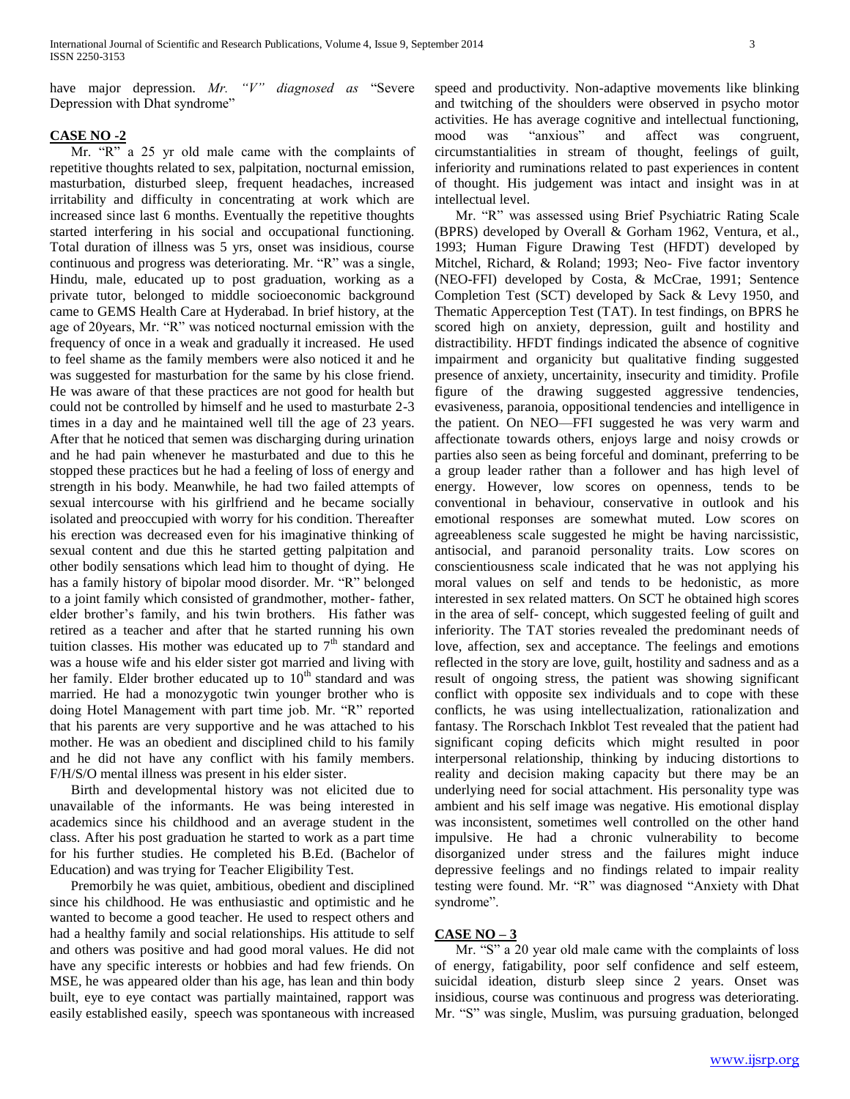have major depression. *Mr. "V" diagnosed as* "Severe Depression with Dhat syndrome"

# **CASE NO -2**

 Mr. "R" a 25 yr old male came with the complaints of repetitive thoughts related to sex, palpitation, nocturnal emission, masturbation, disturbed sleep, frequent headaches, increased irritability and difficulty in concentrating at work which are increased since last 6 months. Eventually the repetitive thoughts started interfering in his social and occupational functioning. Total duration of illness was 5 yrs, onset was insidious, course continuous and progress was deteriorating. Mr. "R" was a single, Hindu, male, educated up to post graduation, working as a private tutor, belonged to middle socioeconomic background came to GEMS Health Care at Hyderabad. In brief history, at the age of 20years, Mr. "R" was noticed nocturnal emission with the frequency of once in a weak and gradually it increased. He used to feel shame as the family members were also noticed it and he was suggested for masturbation for the same by his close friend. He was aware of that these practices are not good for health but could not be controlled by himself and he used to masturbate 2-3 times in a day and he maintained well till the age of 23 years. After that he noticed that semen was discharging during urination and he had pain whenever he masturbated and due to this he stopped these practices but he had a feeling of loss of energy and strength in his body. Meanwhile, he had two failed attempts of sexual intercourse with his girlfriend and he became socially isolated and preoccupied with worry for his condition. Thereafter his erection was decreased even for his imaginative thinking of sexual content and due this he started getting palpitation and other bodily sensations which lead him to thought of dying. He has a family history of bipolar mood disorder. Mr. "R" belonged to a joint family which consisted of grandmother, mother- father, elder brother's family, and his twin brothers. His father was retired as a teacher and after that he started running his own tuition classes. His mother was educated up to  $7<sup>th</sup>$  standard and was a house wife and his elder sister got married and living with her family. Elder brother educated up to  $10<sup>th</sup>$  standard and was married. He had a monozygotic twin younger brother who is doing Hotel Management with part time job. Mr. "R" reported that his parents are very supportive and he was attached to his mother. He was an obedient and disciplined child to his family and he did not have any conflict with his family members. F/H/S/O mental illness was present in his elder sister.

 Birth and developmental history was not elicited due to unavailable of the informants. He was being interested in academics since his childhood and an average student in the class. After his post graduation he started to work as a part time for his further studies. He completed his B.Ed. (Bachelor of Education) and was trying for Teacher Eligibility Test.

 Premorbily he was quiet, ambitious, obedient and disciplined since his childhood. He was enthusiastic and optimistic and he wanted to become a good teacher. He used to respect others and had a healthy family and social relationships. His attitude to self and others was positive and had good moral values. He did not have any specific interests or hobbies and had few friends. On MSE, he was appeared older than his age, has lean and thin body built, eye to eye contact was partially maintained, rapport was easily established easily, speech was spontaneous with increased speed and productivity. Non-adaptive movements like blinking and twitching of the shoulders were observed in psycho motor activities. He has average cognitive and intellectual functioning, mood was "anxious" and affect was congruent, circumstantialities in stream of thought, feelings of guilt, inferiority and ruminations related to past experiences in content of thought. His judgement was intact and insight was in at intellectual level.

 Mr. "R" was assessed using Brief Psychiatric Rating Scale (BPRS) developed by Overall & Gorham 1962, Ventura, et al., 1993; Human Figure Drawing Test (HFDT) developed by Mitchel, Richard, & Roland; 1993; Neo- Five factor inventory (NEO-FFI) developed by Costa, & McCrae, 1991; Sentence Completion Test (SCT) developed by Sack & Levy 1950, and Thematic Apperception Test (TAT). In test findings, on BPRS he scored high on anxiety, depression, guilt and hostility and distractibility. HFDT findings indicated the absence of cognitive impairment and organicity but qualitative finding suggested presence of anxiety, uncertainity, insecurity and timidity. Profile figure of the drawing suggested aggressive tendencies, evasiveness, paranoia, oppositional tendencies and intelligence in the patient. On NEO—FFI suggested he was very warm and affectionate towards others, enjoys large and noisy crowds or parties also seen as being forceful and dominant, preferring to be a group leader rather than a follower and has high level of energy. However, low scores on openness, tends to be conventional in behaviour, conservative in outlook and his emotional responses are somewhat muted. Low scores on agreeableness scale suggested he might be having narcissistic, antisocial, and paranoid personality traits. Low scores on conscientiousness scale indicated that he was not applying his moral values on self and tends to be hedonistic, as more interested in sex related matters. On SCT he obtained high scores in the area of self- concept, which suggested feeling of guilt and inferiority. The TAT stories revealed the predominant needs of love, affection, sex and acceptance. The feelings and emotions reflected in the story are love, guilt, hostility and sadness and as a result of ongoing stress, the patient was showing significant conflict with opposite sex individuals and to cope with these conflicts, he was using intellectualization, rationalization and fantasy. The Rorschach Inkblot Test revealed that the patient had significant coping deficits which might resulted in poor interpersonal relationship, thinking by inducing distortions to reality and decision making capacity but there may be an underlying need for social attachment. His personality type was ambient and his self image was negative. His emotional display was inconsistent, sometimes well controlled on the other hand impulsive. He had a chronic vulnerability to become disorganized under stress and the failures might induce depressive feelings and no findings related to impair reality testing were found. Mr. "R" was diagnosed "Anxiety with Dhat syndrome".

# **CASE NO – 3**

 Mr. "S" a 20 year old male came with the complaints of loss of energy, fatigability, poor self confidence and self esteem, suicidal ideation, disturb sleep since 2 years. Onset was insidious, course was continuous and progress was deteriorating. Mr. "S" was single, Muslim, was pursuing graduation, belonged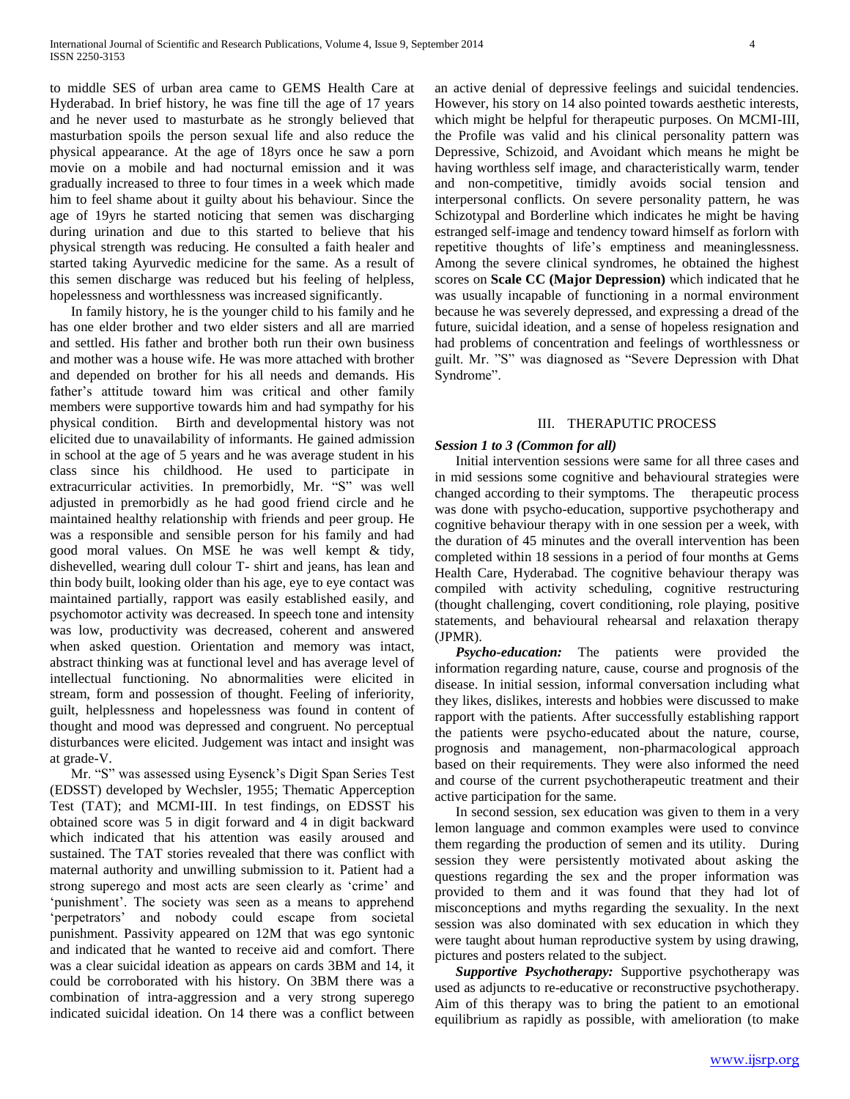to middle SES of urban area came to GEMS Health Care at Hyderabad. In brief history, he was fine till the age of 17 years and he never used to masturbate as he strongly believed that masturbation spoils the person sexual life and also reduce the physical appearance. At the age of 18yrs once he saw a porn movie on a mobile and had nocturnal emission and it was gradually increased to three to four times in a week which made him to feel shame about it guilty about his behaviour. Since the age of 19yrs he started noticing that semen was discharging during urination and due to this started to believe that his physical strength was reducing. He consulted a faith healer and started taking Ayurvedic medicine for the same. As a result of this semen discharge was reduced but his feeling of helpless, hopelessness and worthlessness was increased significantly.

 In family history, he is the younger child to his family and he has one elder brother and two elder sisters and all are married and settled. His father and brother both run their own business and mother was a house wife. He was more attached with brother and depended on brother for his all needs and demands. His father's attitude toward him was critical and other family members were supportive towards him and had sympathy for his physical condition. Birth and developmental history was not elicited due to unavailability of informants. He gained admission in school at the age of 5 years and he was average student in his class since his childhood. He used to participate in extracurricular activities. In premorbidly, Mr. "S" was well adjusted in premorbidly as he had good friend circle and he maintained healthy relationship with friends and peer group. He was a responsible and sensible person for his family and had good moral values. On MSE he was well kempt & tidy, dishevelled, wearing dull colour T- shirt and jeans, has lean and thin body built, looking older than his age, eye to eye contact was maintained partially, rapport was easily established easily, and psychomotor activity was decreased. In speech tone and intensity was low, productivity was decreased, coherent and answered when asked question. Orientation and memory was intact, abstract thinking was at functional level and has average level of intellectual functioning. No abnormalities were elicited in stream, form and possession of thought. Feeling of inferiority, guilt, helplessness and hopelessness was found in content of thought and mood was depressed and congruent. No perceptual disturbances were elicited. Judgement was intact and insight was at grade-V.

 Mr. "S" was assessed using Eysenck's Digit Span Series Test (EDSST) developed by Wechsler, 1955; Thematic Apperception Test (TAT); and MCMI-III. In test findings, on EDSST his obtained score was 5 in digit forward and 4 in digit backward which indicated that his attention was easily aroused and sustained. The TAT stories revealed that there was conflict with maternal authority and unwilling submission to it. Patient had a strong superego and most acts are seen clearly as 'crime' and 'punishment'. The society was seen as a means to apprehend 'perpetrators' and nobody could escape from societal punishment. Passivity appeared on 12M that was ego syntonic and indicated that he wanted to receive aid and comfort. There was a clear suicidal ideation as appears on cards 3BM and 14, it could be corroborated with his history. On 3BM there was a combination of intra-aggression and a very strong superego indicated suicidal ideation. On 14 there was a conflict between an active denial of depressive feelings and suicidal tendencies. However, his story on 14 also pointed towards aesthetic interests, which might be helpful for therapeutic purposes. On MCMI-III, the Profile was valid and his clinical personality pattern was Depressive, Schizoid, and Avoidant which means he might be having worthless self image, and characteristically warm, tender and non-competitive, timidly avoids social tension and interpersonal conflicts. On severe personality pattern, he was Schizotypal and Borderline which indicates he might be having estranged self-image and tendency toward himself as forlorn with repetitive thoughts of life's emptiness and meaninglessness. Among the severe clinical syndromes, he obtained the highest scores on **Scale CC (Major Depression)** which indicated that he was usually incapable of functioning in a normal environment because he was severely depressed, and expressing a dread of the future, suicidal ideation, and a sense of hopeless resignation and had problems of concentration and feelings of worthlessness or guilt. Mr. "S" was diagnosed as "Severe Depression with Dhat Syndrome".

# III. THERAPUTIC PROCESS

## *Session 1 to 3 (Common for all)*

 Initial intervention sessions were same for all three cases and in mid sessions some cognitive and behavioural strategies were changed according to their symptoms. The therapeutic process was done with psycho-education, supportive psychotherapy and cognitive behaviour therapy with in one session per a week, with the duration of 45 minutes and the overall intervention has been completed within 18 sessions in a period of four months at Gems Health Care, Hyderabad. The cognitive behaviour therapy was compiled with activity scheduling, cognitive restructuring (thought challenging, covert conditioning, role playing, positive statements, and behavioural rehearsal and relaxation therapy (JPMR).

 *Psycho-education:* The patients were provided the information regarding nature, cause, course and prognosis of the disease. In initial session, informal conversation including what they likes, dislikes, interests and hobbies were discussed to make rapport with the patients. After successfully establishing rapport the patients were psycho-educated about the nature, course, prognosis and management, non-pharmacological approach based on their requirements. They were also informed the need and course of the current psychotherapeutic treatment and their active participation for the same.

 In second session, sex education was given to them in a very lemon language and common examples were used to convince them regarding the production of semen and its utility. During session they were persistently motivated about asking the questions regarding the sex and the proper information was provided to them and it was found that they had lot of misconceptions and myths regarding the sexuality. In the next session was also dominated with sex education in which they were taught about human reproductive system by using drawing, pictures and posters related to the subject.

 *Supportive Psychotherapy:* Supportive psychotherapy was used as adjuncts to re-educative or reconstructive psychotherapy. Aim of this therapy was to bring the patient to an emotional equilibrium as rapidly as possible, with amelioration (to make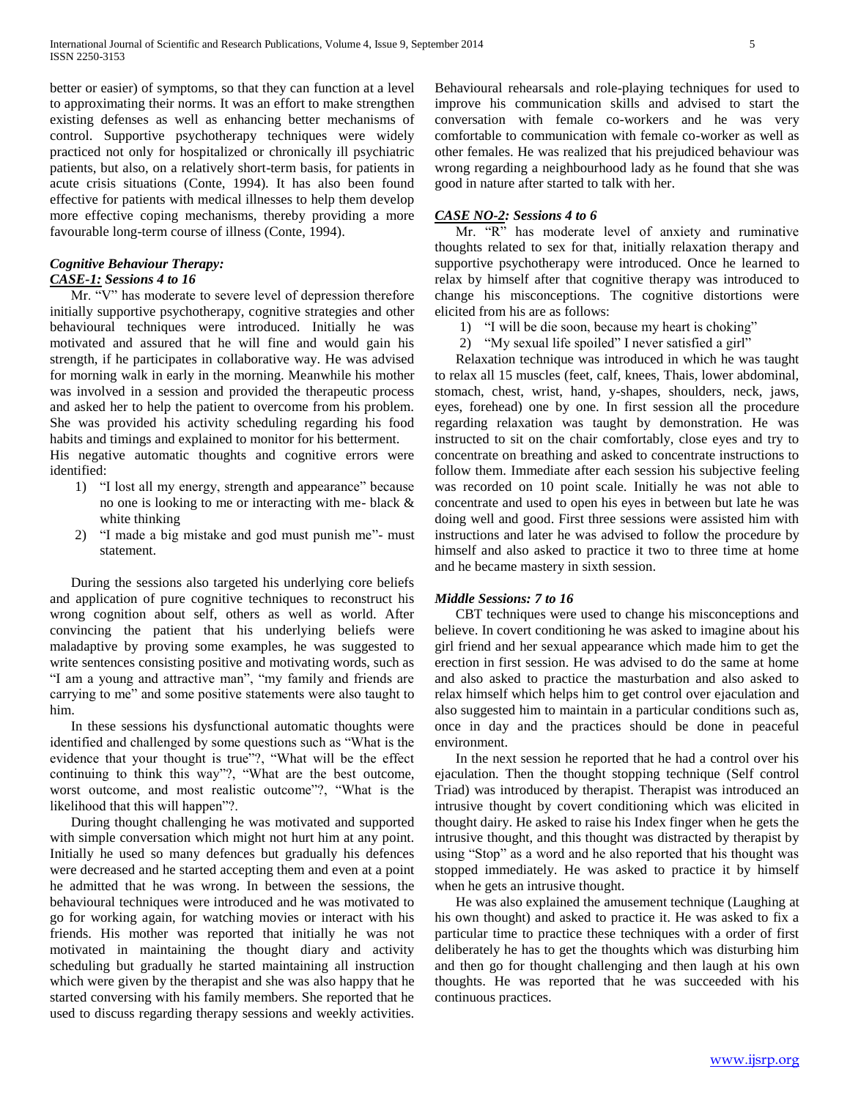better or easier) of symptoms, so that they can function at a level to approximating their norms. It was an effort to make strengthen existing defenses as well as enhancing better mechanisms of control. Supportive psychotherapy techniques were widely practiced not only for hospitalized or chronically ill psychiatric patients, but also, on a relatively short-term basis, for patients in acute crisis situations (Conte, 1994). It has also been found effective for patients with medical illnesses to help them develop more effective coping mechanisms, thereby providing a more favourable long-term course of illness (Conte, 1994).

# *Cognitive Behaviour Therapy: CASE-1: Sessions 4 to 16*

 Mr. "V" has moderate to severe level of depression therefore initially supportive psychotherapy, cognitive strategies and other behavioural techniques were introduced. Initially he was motivated and assured that he will fine and would gain his strength, if he participates in collaborative way. He was advised for morning walk in early in the morning. Meanwhile his mother was involved in a session and provided the therapeutic process and asked her to help the patient to overcome from his problem. She was provided his activity scheduling regarding his food habits and timings and explained to monitor for his betterment.

His negative automatic thoughts and cognitive errors were identified:

- 1) "I lost all my energy, strength and appearance" because no one is looking to me or interacting with me- black & white thinking
- 2) "I made a big mistake and god must punish me"- must statement.

 During the sessions also targeted his underlying core beliefs and application of pure cognitive techniques to reconstruct his wrong cognition about self, others as well as world. After convincing the patient that his underlying beliefs were maladaptive by proving some examples, he was suggested to write sentences consisting positive and motivating words, such as "I am a young and attractive man", "my family and friends are carrying to me" and some positive statements were also taught to him.

 In these sessions his dysfunctional automatic thoughts were identified and challenged by some questions such as "What is the evidence that your thought is true"?, "What will be the effect continuing to think this way"?, "What are the best outcome, worst outcome, and most realistic outcome"?, "What is the likelihood that this will happen"?.

 During thought challenging he was motivated and supported with simple conversation which might not hurt him at any point. Initially he used so many defences but gradually his defences were decreased and he started accepting them and even at a point he admitted that he was wrong. In between the sessions, the behavioural techniques were introduced and he was motivated to go for working again, for watching movies or interact with his friends. His mother was reported that initially he was not motivated in maintaining the thought diary and activity scheduling but gradually he started maintaining all instruction which were given by the therapist and she was also happy that he started conversing with his family members. She reported that he used to discuss regarding therapy sessions and weekly activities.

Behavioural rehearsals and role-playing techniques for used to improve his communication skills and advised to start the conversation with female co-workers and he was very comfortable to communication with female co-worker as well as other females. He was realized that his prejudiced behaviour was wrong regarding a neighbourhood lady as he found that she was good in nature after started to talk with her.

# *CASE NO-2: Sessions 4 to 6*

 Mr. "R" has moderate level of anxiety and ruminative thoughts related to sex for that, initially relaxation therapy and supportive psychotherapy were introduced. Once he learned to relax by himself after that cognitive therapy was introduced to change his misconceptions. The cognitive distortions were elicited from his are as follows:

- 1) "I will be die soon, because my heart is choking"
- 2) "My sexual life spoiled" I never satisfied a girl"

 Relaxation technique was introduced in which he was taught to relax all 15 muscles (feet, calf, knees, Thais, lower abdominal, stomach, chest, wrist, hand, y-shapes, shoulders, neck, jaws, eyes, forehead) one by one. In first session all the procedure regarding relaxation was taught by demonstration. He was instructed to sit on the chair comfortably, close eyes and try to concentrate on breathing and asked to concentrate instructions to follow them. Immediate after each session his subjective feeling was recorded on 10 point scale. Initially he was not able to concentrate and used to open his eyes in between but late he was doing well and good. First three sessions were assisted him with instructions and later he was advised to follow the procedure by himself and also asked to practice it two to three time at home and he became mastery in sixth session.

## *Middle Sessions: 7 to 16*

 CBT techniques were used to change his misconceptions and believe. In covert conditioning he was asked to imagine about his girl friend and her sexual appearance which made him to get the erection in first session. He was advised to do the same at home and also asked to practice the masturbation and also asked to relax himself which helps him to get control over ejaculation and also suggested him to maintain in a particular conditions such as, once in day and the practices should be done in peaceful environment.

 In the next session he reported that he had a control over his ejaculation. Then the thought stopping technique (Self control Triad) was introduced by therapist. Therapist was introduced an intrusive thought by covert conditioning which was elicited in thought dairy. He asked to raise his Index finger when he gets the intrusive thought, and this thought was distracted by therapist by using "Stop" as a word and he also reported that his thought was stopped immediately. He was asked to practice it by himself when he gets an intrusive thought.

 He was also explained the amusement technique (Laughing at his own thought) and asked to practice it. He was asked to fix a particular time to practice these techniques with a order of first deliberately he has to get the thoughts which was disturbing him and then go for thought challenging and then laugh at his own thoughts. He was reported that he was succeeded with his continuous practices.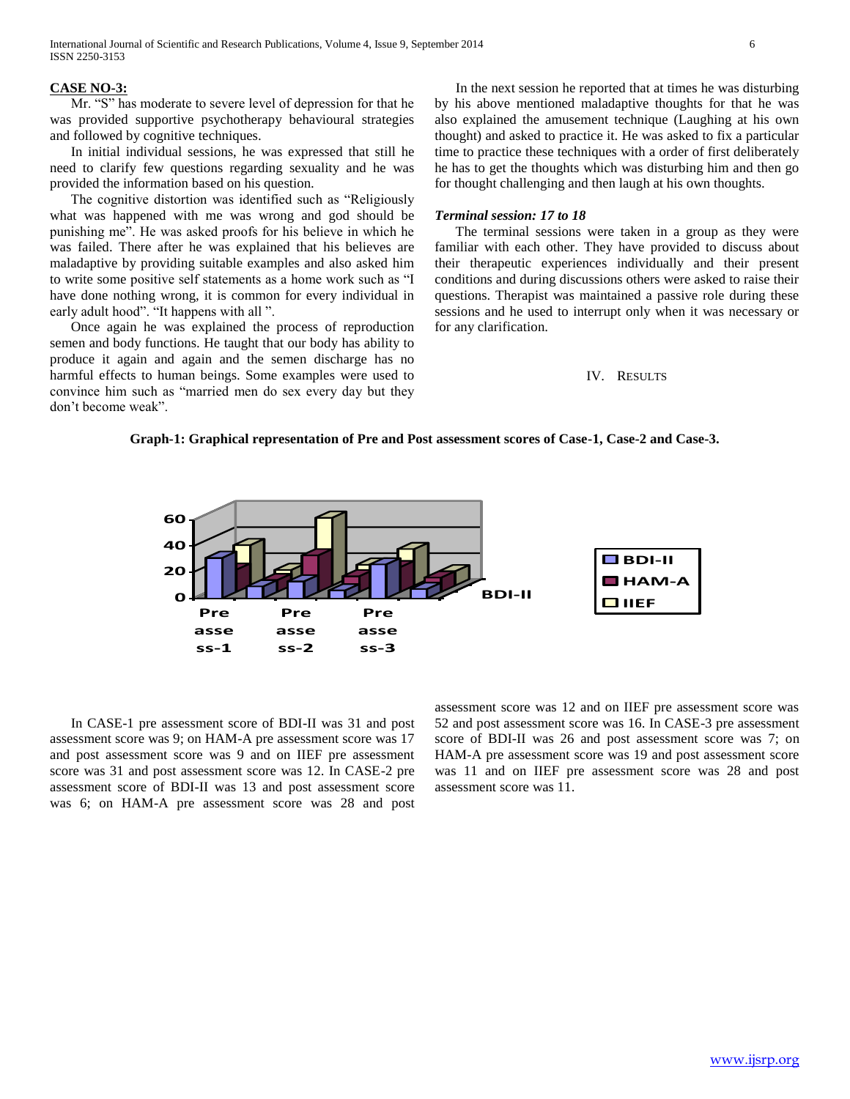### **CASE NO-3:**

 Mr. "S" has moderate to severe level of depression for that he was provided supportive psychotherapy behavioural strategies and followed by cognitive techniques.

 In initial individual sessions, he was expressed that still he need to clarify few questions regarding sexuality and he was provided the information based on his question.

 The cognitive distortion was identified such as "Religiously what was happened with me was wrong and god should be punishing me". He was asked proofs for his believe in which he was failed. There after he was explained that his believes are maladaptive by providing suitable examples and also asked him to write some positive self statements as a home work such as "I have done nothing wrong, it is common for every individual in early adult hood". "It happens with all ".

 Once again he was explained the process of reproduction semen and body functions. He taught that our body has ability to produce it again and again and the semen discharge has no harmful effects to human beings. Some examples were used to convince him such as "married men do sex every day but they don't become weak".

 In the next session he reported that at times he was disturbing by his above mentioned maladaptive thoughts for that he was also explained the amusement technique (Laughing at his own thought) and asked to practice it. He was asked to fix a particular time to practice these techniques with a order of first deliberately he has to get the thoughts which was disturbing him and then go for thought challenging and then laugh at his own thoughts.

## *Terminal session: 17 to 18*

 The terminal sessions were taken in a group as they were familiar with each other. They have provided to discuss about their therapeutic experiences individually and their present conditions and during discussions others were asked to raise their questions. Therapist was maintained a passive role during these sessions and he used to interrupt only when it was necessary or for any clarification.

### IV. RESULTS

#### **Graph-1: Graphical representation of Pre and Post assessment scores of Case-1, Case-2 and Case-3.**



 In CASE-1 pre assessment score of BDI-II was 31 and post assessment score was 9; on HAM-A pre assessment score was 17 and post assessment score was 9 and on IIEF pre assessment score was 31 and post assessment score was 12. In CASE-2 pre assessment score of BDI-II was 13 and post assessment score was 6; on HAM-A pre assessment score was 28 and post

assessment score was 12 and on IIEF pre assessment score was 52 and post assessment score was 16. In CASE-3 pre assessment score of BDI-II was 26 and post assessment score was 7; on HAM-A pre assessment score was 19 and post assessment score was 11 and on IIEF pre assessment score was 28 and post assessment score was 11.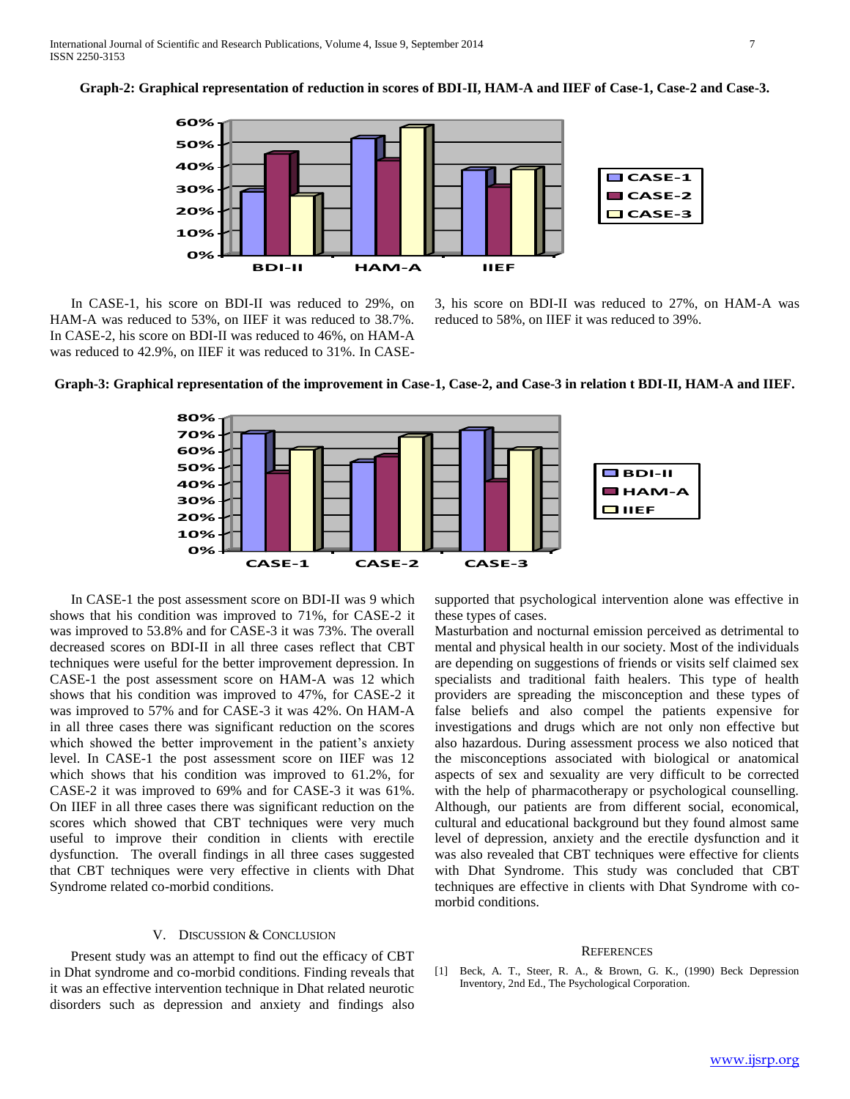**Graph-2: Graphical representation of reduction in scores of BDI-II, HAM-A and IIEF of Case-1, Case-2 and Case-3.**



 In CASE-1, his score on BDI-II was reduced to 29%, on HAM-A was reduced to 53%, on IIEF it was reduced to 38.7%. In CASE-2, his score on BDI-II was reduced to 46%, on HAM-A was reduced to 42.9%, on IIEF it was reduced to 31%. In CASE- 3, his score on BDI-II was reduced to 27%, on HAM-A was reduced to 58%, on IIEF it was reduced to 39%.





 In CASE-1 the post assessment score on BDI-II was 9 which shows that his condition was improved to 71%, for CASE-2 it was improved to 53.8% and for CASE-3 it was 73%. The overall decreased scores on BDI-II in all three cases reflect that CBT techniques were useful for the better improvement depression. In CASE-1 the post assessment score on HAM-A was 12 which shows that his condition was improved to 47%, for CASE-2 it was improved to 57% and for CASE-3 it was 42%. On HAM-A in all three cases there was significant reduction on the scores which showed the better improvement in the patient's anxiety level. In CASE-1 the post assessment score on IIEF was 12 which shows that his condition was improved to 61.2%, for CASE-2 it was improved to 69% and for CASE-3 it was 61%. On IIEF in all three cases there was significant reduction on the scores which showed that CBT techniques were very much useful to improve their condition in clients with erectile dysfunction. The overall findings in all three cases suggested that CBT techniques were very effective in clients with Dhat Syndrome related co-morbid conditions.

## V. DISCUSSION & CONCLUSION

 Present study was an attempt to find out the efficacy of CBT in Dhat syndrome and co-morbid conditions. Finding reveals that it was an effective intervention technique in Dhat related neurotic disorders such as depression and anxiety and findings also

supported that psychological intervention alone was effective in these types of cases.

Masturbation and nocturnal emission perceived as detrimental to mental and physical health in our society. Most of the individuals are depending on suggestions of friends or visits self claimed sex specialists and traditional faith healers. This type of health providers are spreading the misconception and these types of false beliefs and also compel the patients expensive for investigations and drugs which are not only non effective but also hazardous. During assessment process we also noticed that the misconceptions associated with biological or anatomical aspects of sex and sexuality are very difficult to be corrected with the help of pharmacotherapy or psychological counselling. Although, our patients are from different social, economical, cultural and educational background but they found almost same level of depression, anxiety and the erectile dysfunction and it was also revealed that CBT techniques were effective for clients with Dhat Syndrome. This study was concluded that CBT techniques are effective in clients with Dhat Syndrome with comorbid conditions.

#### **REFERENCES**

[1] Beck, A. T., Steer, R. A., & Brown, G. K., (1990) Beck Depression Inventory, 2nd Ed., The Psychological Corporation.